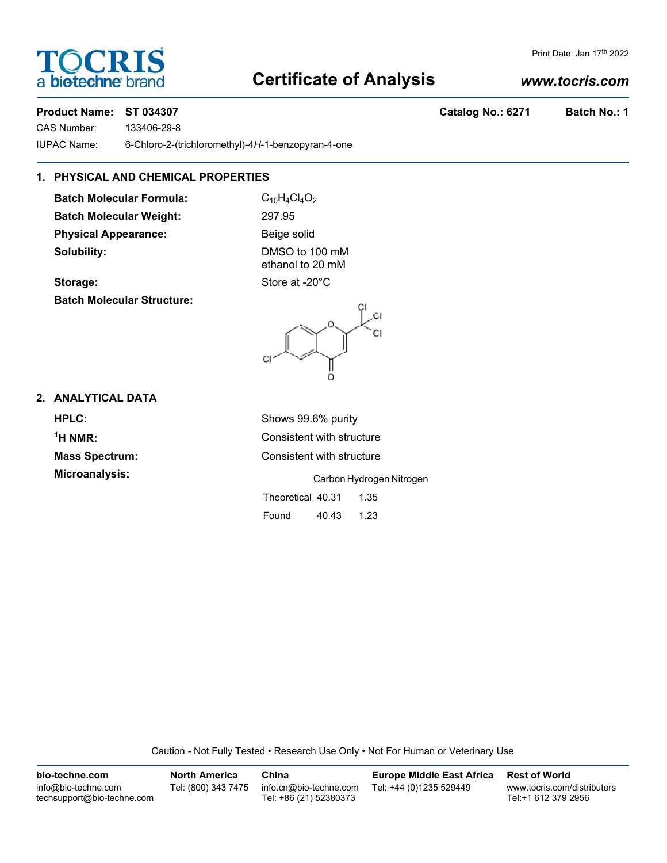# **TOCRIS** a **biotechne** bi

#### Print Date: Jan 17th 2022

# **Certificate of Analysis**

# *www.tocris.com*

# **Product Name: ST 034307 Catalog No.: 6271 Batch No.: 1**

CAS Number: 133406-29-8

IUPAC Name: 6-Chloro-2-(trichloromethyl)-4*H*-1-benzopyran-4-one

# **1. PHYSICAL AND CHEMICAL PROPERTIES**

**Batch Molecular Formula:** C<sub>10</sub>H<sub>4</sub>Cl<sub>4</sub>O<sub>2</sub> **Batch Molecular Weight:** 297.95 **Physical Appearance:** Beige solid **Solubility:** DMSO to 100 mM

ethanol to 20 mM **Storage:** Store at -20°C

**Batch Molecular Structure:**



# **2. ANALYTICAL DATA**

**HPLC:** Shows 99.6% purity  $<sup>1</sup>H NMR$ :</sup> **Microanalysis:** Carbon Hydrogen Nitrogen

**Consistent with structure Mass Spectrum:** Consistent with structure

Theoretical 40.31 1.35

Found 40.43 1.23

Caution - Not Fully Tested • Research Use Only • Not For Human or Veterinary Use

| bio-techne.com                                    | <b>North America</b> | China                                            | <b>Europe Middle East Africa</b> | <b>Rest of World</b>                               |
|---------------------------------------------------|----------------------|--------------------------------------------------|----------------------------------|----------------------------------------------------|
| info@bio-techne.com<br>techsupport@bio-techne.com | Tel: (800) 343 7475  | info.cn@bio-techne.com<br>Tel: +86 (21) 52380373 | Tel: +44 (0)1235 529449          | www.tocris.com/distributors<br>Tel:+1 612 379 2956 |